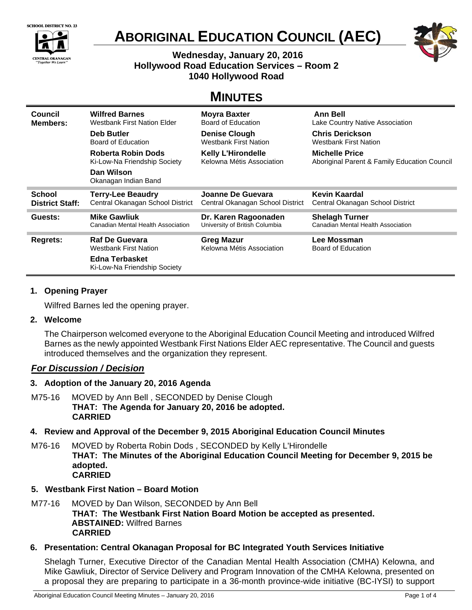



# **ABORIGINAL EDUCATION COUNCIL (AEC)**



# **Wednesday, January 20, 2016 Hollywood Road Education Services – Room 2 1040 Hollywood Road**

# **MINUTES**

| Council                | <b>Wilfred Barnes</b>              | <b>Moyra Baxter</b>              | <b>Ann Bell</b>                              |
|------------------------|------------------------------------|----------------------------------|----------------------------------------------|
| Members:               | Westbank First Nation Elder        | Board of Education               | Lake Country Native Association              |
|                        | Deb Butler                         | <b>Denise Clough</b>             | <b>Chris Derickson</b>                       |
|                        | Board of Education                 | Westbank First Nation            | <b>Westbank First Nation</b>                 |
|                        | Roberta Robin Dods                 | <b>Kelly L'Hirondelle</b>        | <b>Michelle Price</b>                        |
|                        | Ki-Low-Na Friendship Society       | Kelowna Métis Association        | Aboriginal Parent & Family Education Council |
|                        | Dan Wilson<br>Okanagan Indian Band |                                  |                                              |
|                        |                                    |                                  |                                              |
| School                 | <b>Terry-Lee Beaudry</b>           | Joanne De Guevara                | Kevin Kaardal                                |
| <b>District Staff:</b> | Central Okanagan School District   | Central Okanagan School District | Central Okanagan School District             |
| Guests:                | <b>Mike Gawliuk</b>                | Dr. Karen Ragoonaden             | <b>Shelagh Turner</b>                        |
|                        | Canadian Mental Health Association | University of British Columbia   | Canadian Mental Health Association           |
| <b>Regrets:</b>        | <b>Raf De Guevara</b>              | <b>Greg Mazur</b>                | Lee Mossman                                  |
|                        | Westbank First Nation              | Kelowna Métis Association        | Board of Education                           |

# **1. Opening Prayer**

Wilfred Barnes led the opening prayer.

# **2. Welcome**

The Chairperson welcomed everyone to the Aboriginal Education Council Meeting and introduced Wilfred Barnes as the newly appointed Westbank First Nations Elder AEC representative. The Council and guests introduced themselves and the organization they represent.

# *For Discussion / Decision*

# **3. Adoption of the January 20, 2016 Agenda**

M75-16 MOVED by Ann Bell , SECONDED by Denise Clough **THAT: The Agenda for January 20, 2016 be adopted. CARRIED** 

# **4. Review and Approval of the December 9, 2015 Aboriginal Education Council Minutes**

M76-16 MOVED by Roberta Robin Dods , SECONDED by Kelly L'Hirondelle **THAT: The Minutes of the Aboriginal Education Council Meeting for December 9, 2015 be adopted. CARRIED** 

# **5. Westbank First Nation – Board Motion**

M77-16 MOVED by Dan Wilson, SECONDED by Ann Bell **THAT: The Westbank First Nation Board Motion be accepted as presented. ABSTAINED:** Wilfred Barnes **CARRIED** 

# **6. Presentation: Central Okanagan Proposal for BC Integrated Youth Services Initiative**

Shelagh Turner, Executive Director of the Canadian Mental Health Association (CMHA) Kelowna, and Mike Gawliuk, Director of Service Delivery and Program Innovation of the CMHA Kelowna, presented on a proposal they are preparing to participate in a 36-month province-wide initiative (BC-IYSI) to support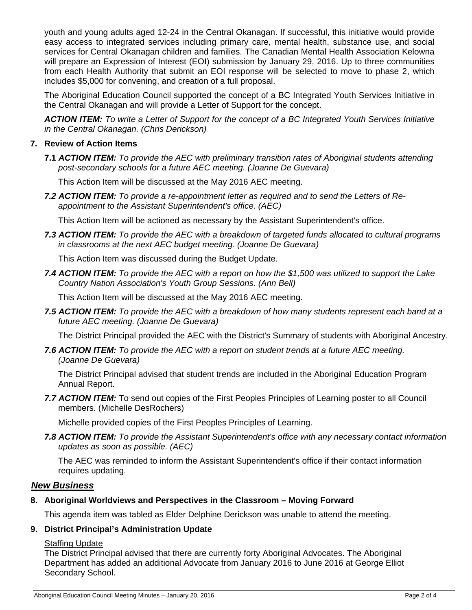youth and young adults aged 12-24 in the Central Okanagan. If successful, this initiative would provide easy access to integrated services including primary care, mental health, substance use, and social services for Central Okanagan children and families. The Canadian Mental Health Association Kelowna will prepare an Expression of Interest (EOI) submission by January 29, 2016. Up to three communities from each Health Authority that submit an EOI response will be selected to move to phase 2, which includes \$5,000 for convening, and creation of a full proposal.

The Aboriginal Education Council supported the concept of a BC Integrated Youth Services Initiative in the Central Okanagan and will provide a Letter of Support for the concept.

*ACTION ITEM: To write a Letter of Support for the concept of a BC Integrated Youth Services Initiative in the Central Okanagan. (Chris Derickson)* 

# **7. Review of Action Items**

**7.1** *ACTION ITEM: To provide the AEC with preliminary transition rates of Aboriginal students attending post-secondary schools for a future AEC meeting. (Joanne De Guevara)*

This Action Item will be discussed at the May 2016 AEC meeting.

*7.2 ACTION ITEM: To provide a re-appointment letter as required and to send the Letters of Reappointment to the Assistant Superintendent's office. (AEC)* 

This Action Item will be actioned as necessary by the Assistant Superintendent's office.

*7.3 ACTION ITEM: To provide the AEC with a breakdown of targeted funds allocated to cultural programs in classrooms at the next AEC budget meeting. (Joanne De Guevara)* 

This Action Item was discussed during the Budget Update.

*7.4 ACTION ITEM: To provide the AEC with a report on how the \$1,500 was utilized to support the Lake Country Nation Association's Youth Group Sessions. (Ann Bell)* 

This Action Item will be discussed at the May 2016 AEC meeting.

*7.5 ACTION ITEM: To provide the AEC with a breakdown of how many students represent each band at a future AEC meeting. (Joanne De Guevara)* 

The District Principal provided the AEC with the District's Summary of students with Aboriginal Ancestry.

*7.6 ACTION ITEM: To provide the AEC with a report on student trends at a future AEC meeting. (Joanne De Guevara)* 

The District Principal advised that student trends are included in the Aboriginal Education Program Annual Report.

*7.7 ACTION ITEM:* To send out copies of the First Peoples Principles of Learning poster to all Council members. (Michelle DesRochers)

Michelle provided copies of the First Peoples Principles of Learning.

*7.8 ACTION ITEM: To provide the Assistant Superintendent's office with any necessary contact information updates as soon as possible. (AEC)* 

The AEC was reminded to inform the Assistant Superintendent's office if their contact information requires updating.

## *New Business*

## **8. Aboriginal Worldviews and Perspectives in the Classroom – Moving Forward**

This agenda item was tabled as Elder Delphine Derickson was unable to attend the meeting.

## **9. District Principal's Administration Update**

# Staffing Update

The District Principal advised that there are currently forty Aboriginal Advocates. The Aboriginal Department has added an additional Advocate from January 2016 to June 2016 at George Elliot Secondary School.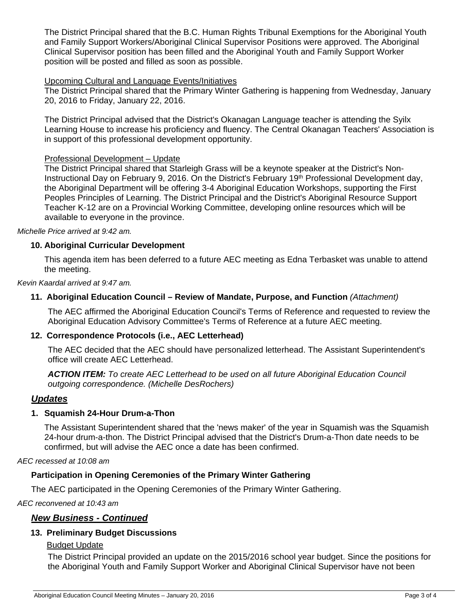The District Principal shared that the B.C. Human Rights Tribunal Exemptions for the Aboriginal Youth and Family Support Workers/Aboriginal Clinical Supervisor Positions were approved. The Aboriginal Clinical Supervisor position has been filled and the Aboriginal Youth and Family Support Worker position will be posted and filled as soon as possible.

## Upcoming Cultural and Language Events/Initiatives

The District Principal shared that the Primary Winter Gathering is happening from Wednesday, January 20, 2016 to Friday, January 22, 2016.

The District Principal advised that the District's Okanagan Language teacher is attending the Syilx Learning House to increase his proficiency and fluency. The Central Okanagan Teachers' Association is in support of this professional development opportunity.

### Professional Development – Update

The District Principal shared that Starleigh Grass will be a keynote speaker at the District's Non-Instructional Day on February 9, 2016. On the District's February 19th Professional Development day, the Aboriginal Department will be offering 3-4 Aboriginal Education Workshops, supporting the First Peoples Principles of Learning. The District Principal and the District's Aboriginal Resource Support Teacher K-12 are on a Provincial Working Committee, developing online resources which will be available to everyone in the province.

*Michelle Price arrived at 9:42 am.* 

### **10. Aboriginal Curricular Development**

This agenda item has been deferred to a future AEC meeting as Edna Terbasket was unable to attend the meeting.

#### *Kevin Kaardal arrived at 9:47 am.*

## **11. Aboriginal Education Council – Review of Mandate, Purpose, and Function** *(Attachment)*

The AEC affirmed the Aboriginal Education Council's Terms of Reference and requested to review the Aboriginal Education Advisory Committee's Terms of Reference at a future AEC meeting.

#### **12. Correspondence Protocols (i.e., AEC Letterhead)**

The AEC decided that the AEC should have personalized letterhead. The Assistant Superintendent's office will create AEC Letterhead.

*ACTION ITEM: To create AEC Letterhead to be used on all future Aboriginal Education Council outgoing correspondence. (Michelle DesRochers)* 

#### *Updates*

#### **1. Squamish 24-Hour Drum-a-Thon**

The Assistant Superintendent shared that the 'news maker' of the year in Squamish was the Squamish 24-hour drum-a-thon. The District Principal advised that the District's Drum-a-Thon date needs to be confirmed, but will advise the AEC once a date has been confirmed.

*AEC recessed at 10:08 am* 

## **Participation in Opening Ceremonies of the Primary Winter Gathering**

The AEC participated in the Opening Ceremonies of the Primary Winter Gathering.

*AEC reconvened at 10:43 am* 

# *New Business - Continued*

#### **13. Preliminary Budget Discussions**

#### Budget Update

The District Principal provided an update on the 2015/2016 school year budget. Since the positions for the Aboriginal Youth and Family Support Worker and Aboriginal Clinical Supervisor have not been